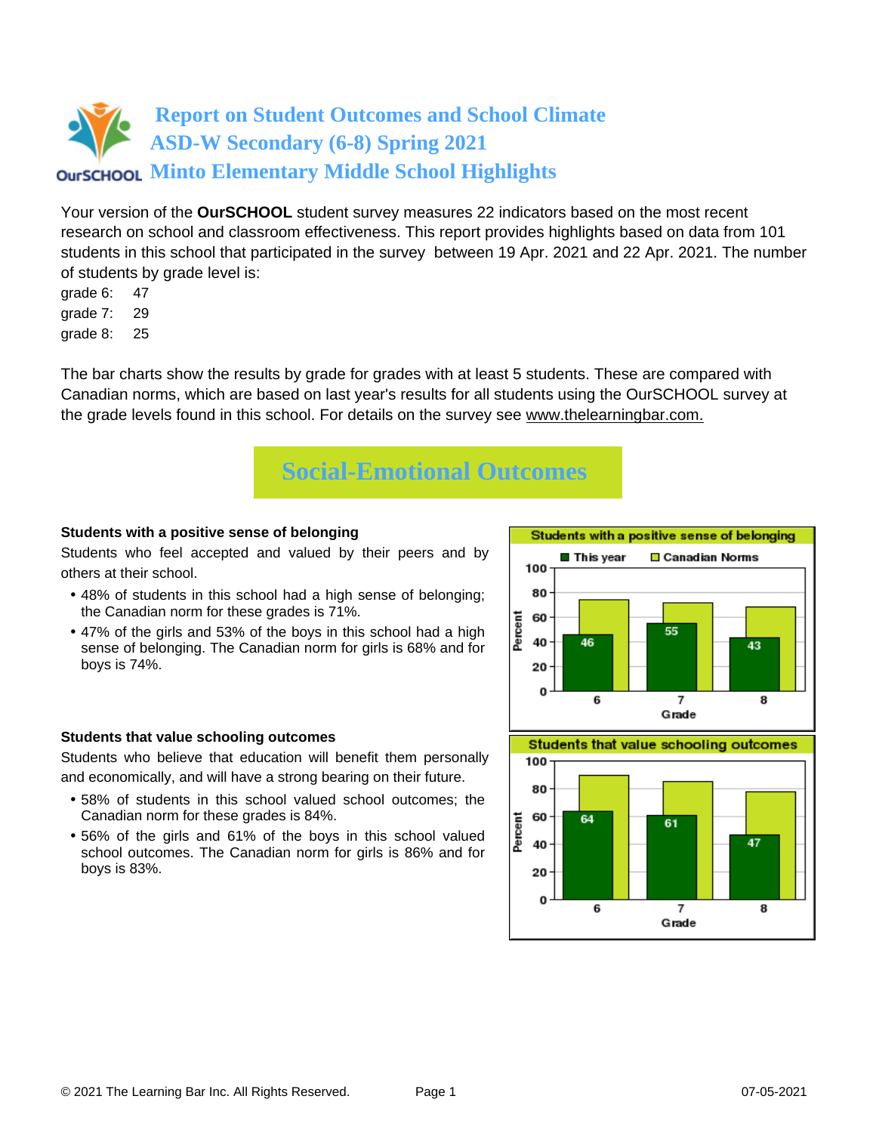Your version of the **OurSCHOOL** student survey measures 22 indicators based on the most recent research on school and classroom effectiveness. This report provides highlights based on data from 101 students in this school that participated in the survey between 19 Apr. 2021 and 22 Apr. 2021. The number of students by grade level is:

- grade 6: 47
- grade 7: 29
- grade 8: 25

The bar charts show the results by grade for grades with at least 5 students. These are compared with Canadian norms, which are based on last year's results for all students using the OurSCHOOL survey at the grade levels found in this school. For details on the survey see [www.thelearningbar.com.](www.thelearningbar.com)



## **Students with a positive sense of belonging**

Students who feel accepted and valued by their peers and by others at their school.

- 48% of students in this school had a high sense of belonging; the Canadian norm for these grades is 71%.
- 47% of the girls and 53% of the boys in this school had a high sense of belonging. The Canadian norm for girls is 68% and for boys is 74%.



#### **Students that value schooling outcomes**

Students who believe that education will benefit them personally and economically, and will have a strong bearing on their future.

- 58% of students in this school valued school outcomes; the Canadian norm for these grades is 84%.
- 56% of the girls and 61% of the boys in this school valued school outcomes. The Canadian norm for girls is 86% and for boys is 83%.

**Students that value schooling outcomes** 

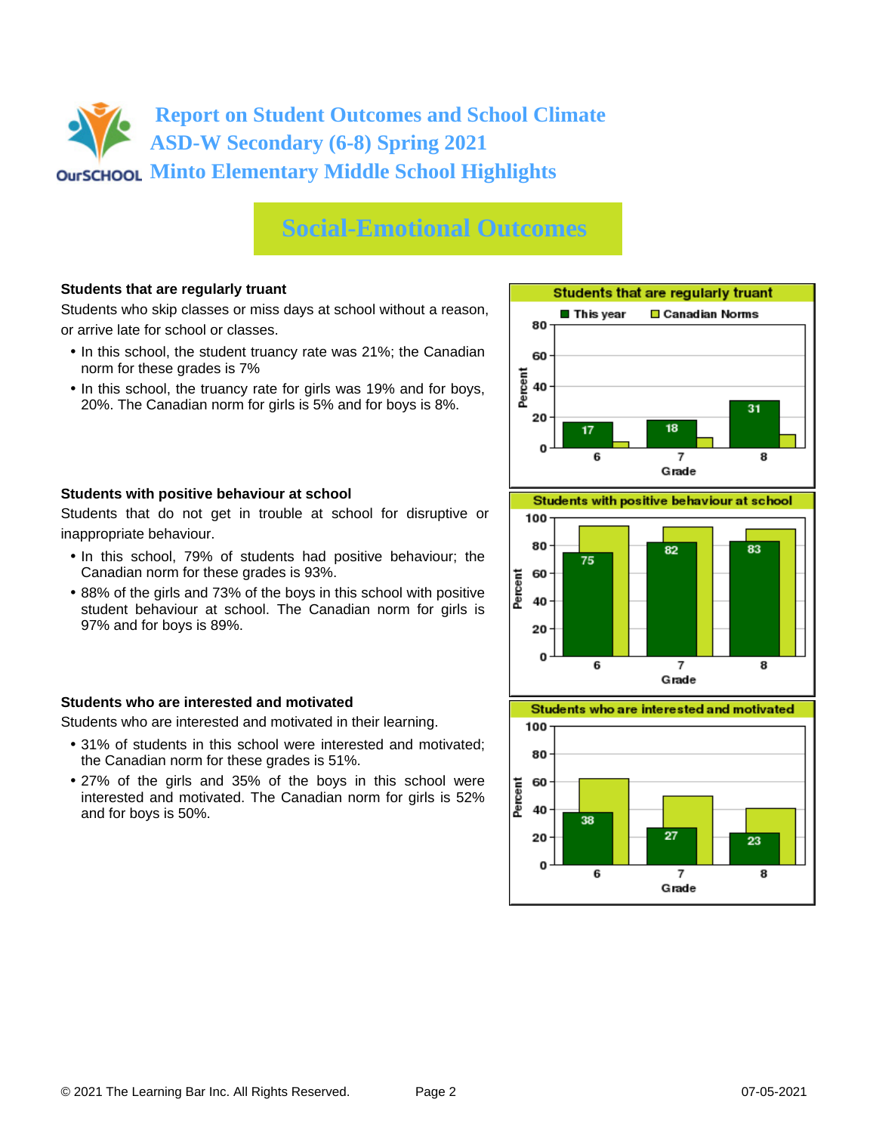# **Social-Emotional Outcomes**

## **Students that are regularly truant**

Students who skip classes or miss days at school without a reason, or arrive late for school or classes.

- In this school, the student truancy rate was 21%; the Canadian norm for these grades is 7%
- In this school, the truancy rate for girls was 19% and for boys, 20%. The Canadian norm for girls is 5% and for boys is 8%.





Students that do not get in trouble at school for disruptive or inappropriate behaviour.

- In this school, 79% of students had positive behaviour; the Canadian norm for these grades is 93%.
- 88% of the girls and 73% of the boys in this school with positive student behaviour at school. The Canadian norm for girls is 97% and for boys is 89%.

## **Students who are interested and motivated**

Students who are interested and motivated in their learning.

- 31% of students in this school were interested and motivated; the Canadian norm for these grades is 51%.
- 27% of the girls and 35% of the boys in this school were interested and motivated. The Canadian norm for girls is 52% and for boys is 50%.



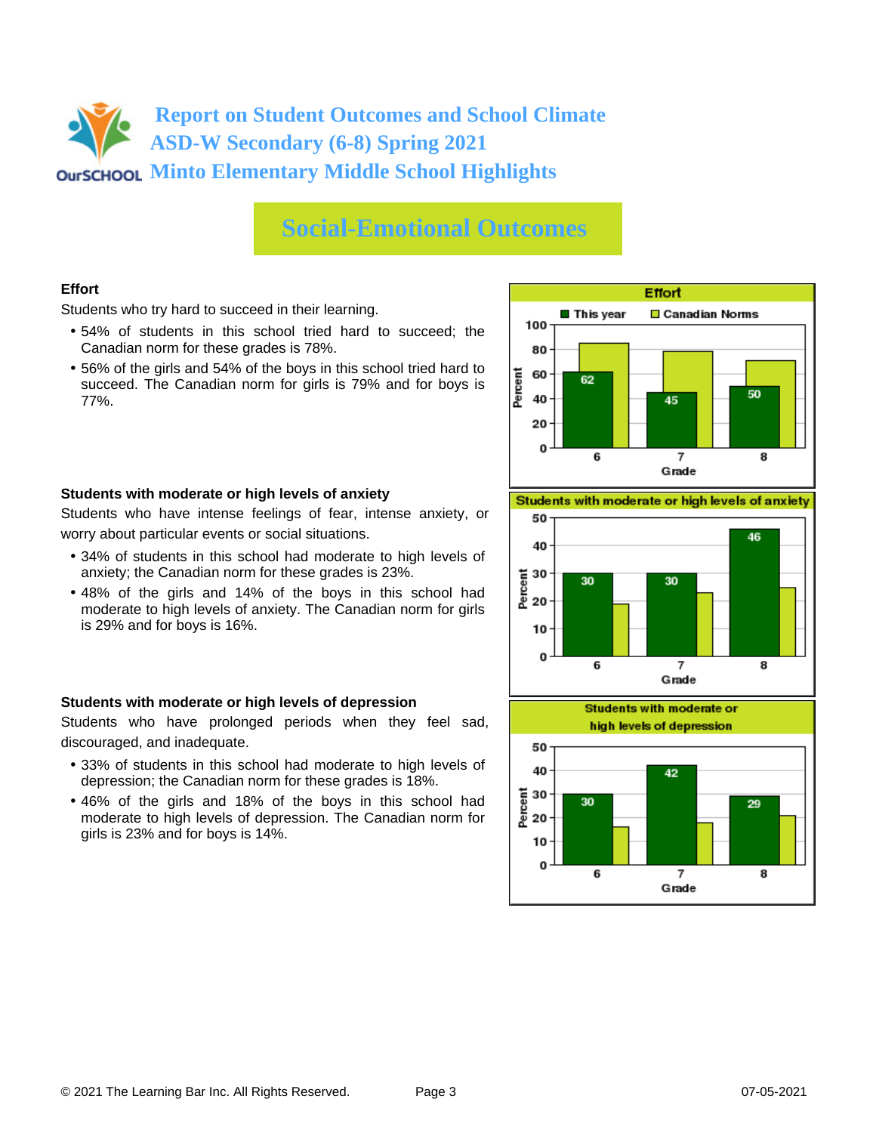# **Social-Emotional Outcomes**

## **Effort**

Students who try hard to succeed in their learning.

- 54% of students in this school tried hard to succeed; the Canadian norm for these grades is 78%.
- 56% of the girls and 54% of the boys in this school tried hard to succeed. The Canadian norm for girls is 79% and for boys is 77%.



## **Students with moderate or high levels of anxiety**

Students who have intense feelings of fear, intense anxiety, or worry about particular events or social situations.

- 34% of students in this school had moderate to high levels of anxiety; the Canadian norm for these grades is 23%.
- 48% of the girls and 14% of the boys in this school had moderate to high levels of anxiety. The Canadian norm for girls is 29% and for boys is 16%.

## **Students with moderate or high levels of depression**

Students who have prolonged periods when they feel sad, discouraged, and inadequate.

- 33% of students in this school had moderate to high levels of depression; the Canadian norm for these grades is 18%.
- 46% of the girls and 18% of the boys in this school had moderate to high levels of depression. The Canadian norm for girls is 23% and for boys is 14%.

Students with moderate or high levels of anxiety



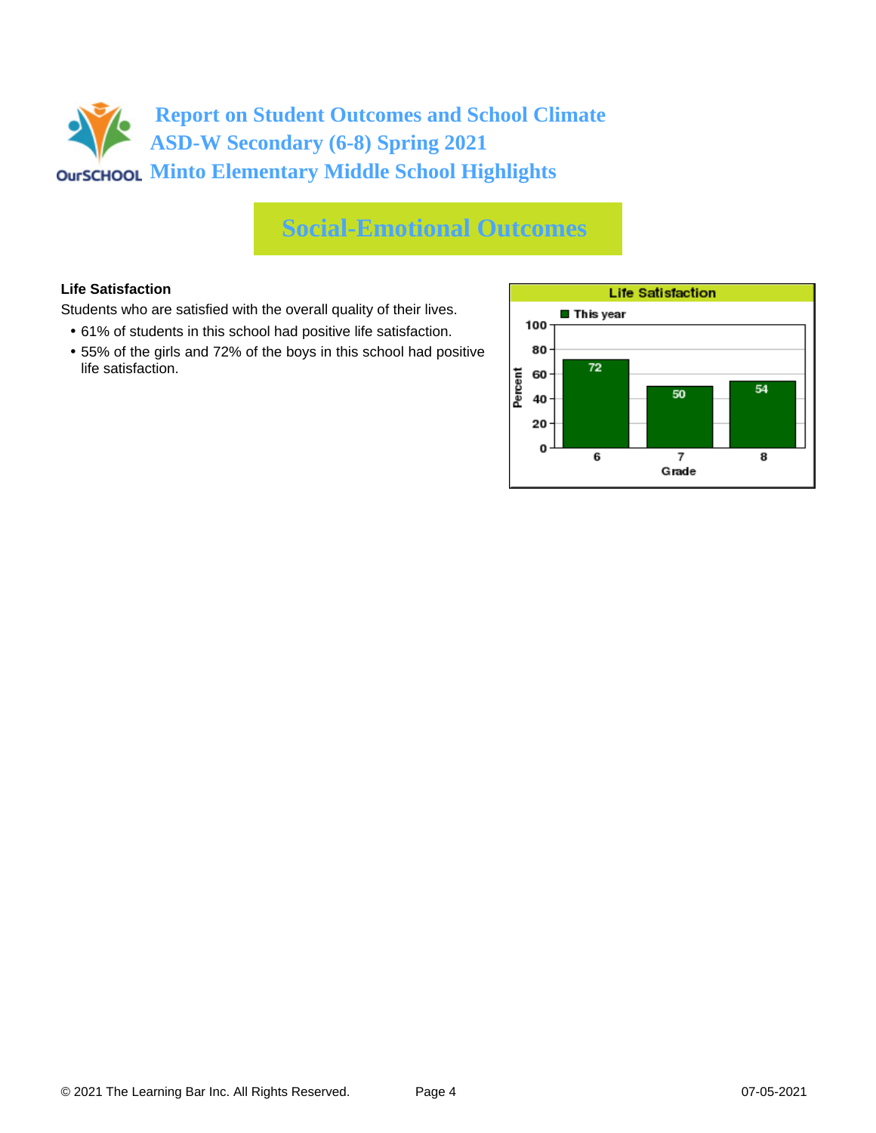# **Social-Emotional Outcomes**

## **Life Satisfaction**

Students who are satisfied with the overall quality of their lives.

- 61% of students in this school had positive life satisfaction.
- 55% of the girls and 72% of the boys in this school had positive life satisfaction.

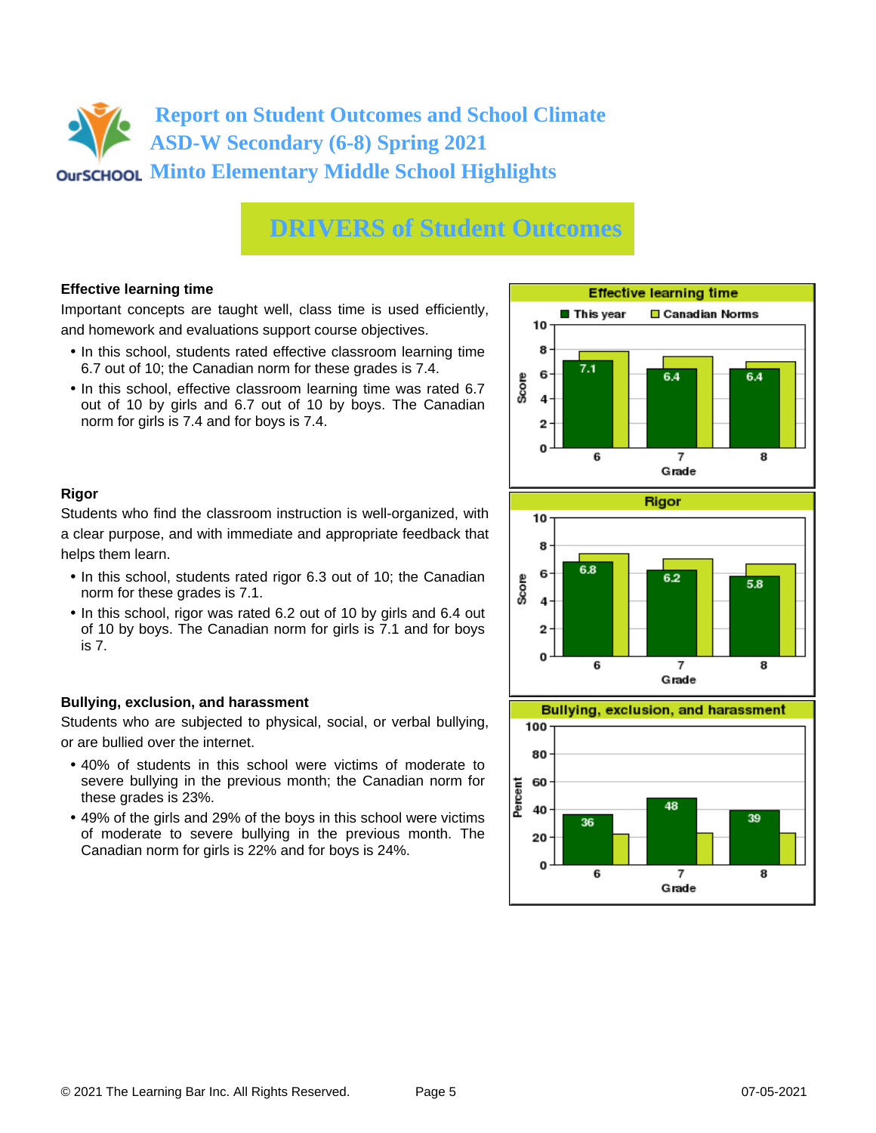# **DRIVERS of Student Outcomes**

## **Effective learning time**

Important concepts are taught well, class time is used efficiently, and homework and evaluations support course objectives.

- In this school, students rated effective classroom learning time 6.7 out of 10; the Canadian norm for these grades is 7.4.
- In this school, effective classroom learning time was rated 6.7 out of 10 by girls and 6.7 out of 10 by boys. The Canadian norm for girls is 7.4 and for boys is 7.4.



## **Rigor**

Students who find the classroom instruction is well-organized, with a clear purpose, and with immediate and appropriate feedback that helps them learn.

- In this school, students rated rigor 6.3 out of 10; the Canadian norm for these grades is 7.1.
- In this school, rigor was rated 6.2 out of 10 by girls and 6.4 out of 10 by boys. The Canadian norm for girls is 7.1 and for boys is 7.

## **Bullying, exclusion, and harassment**

Students who are subjected to physical, social, or verbal bullying, or are bullied over the internet.

- 40% of students in this school were victims of moderate to severe bullying in the previous month; the Canadian norm for these grades is 23%.
- 49% of the girls and 29% of the boys in this school were victims of moderate to severe bullying in the previous month. The Canadian norm for girls is 22% and for boys is 24%.



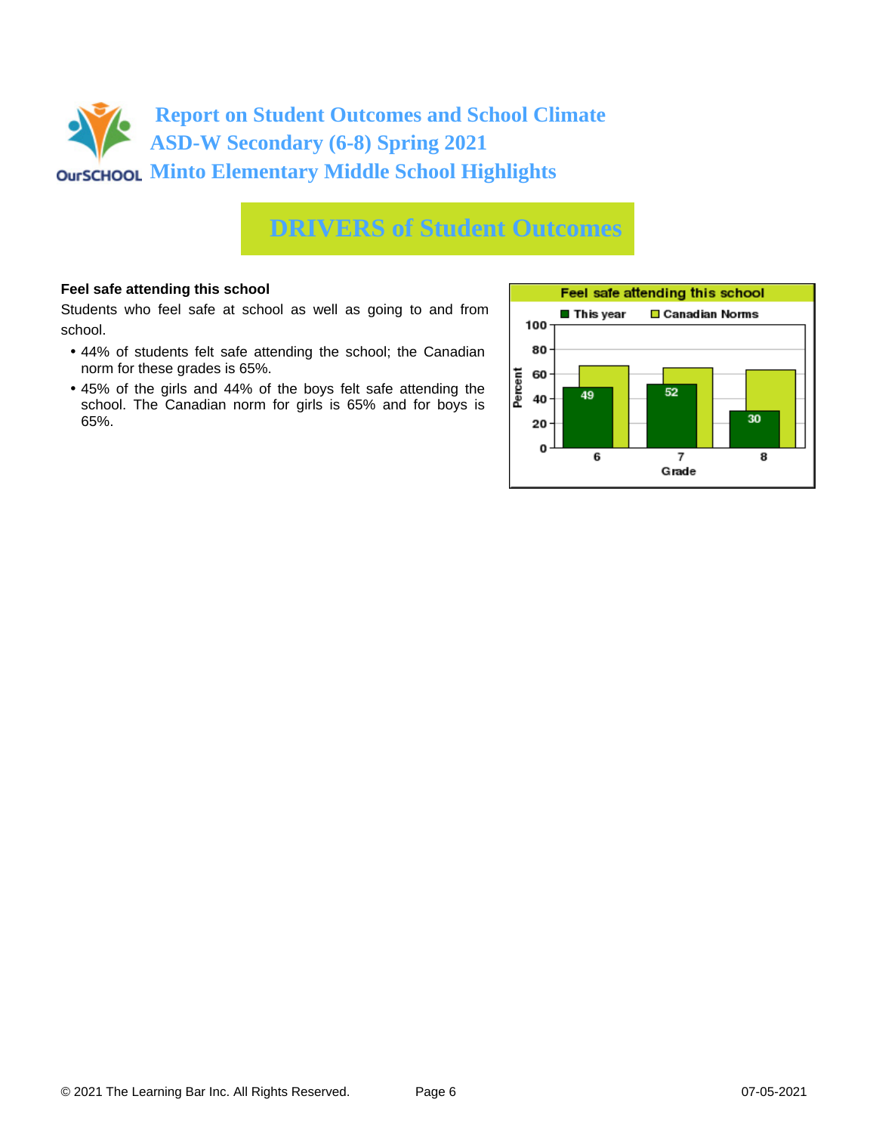

## **DRIVERS of Student Outcomes**

## **Feel safe attending this school**

Students who feel safe at school as well as going to and from school.

- 44% of students felt safe attending the school; the Canadian norm for these grades is 65%.
- 45% of the girls and 44% of the boys felt safe attending the school. The Canadian norm for girls is 65% and for boys is 65%.

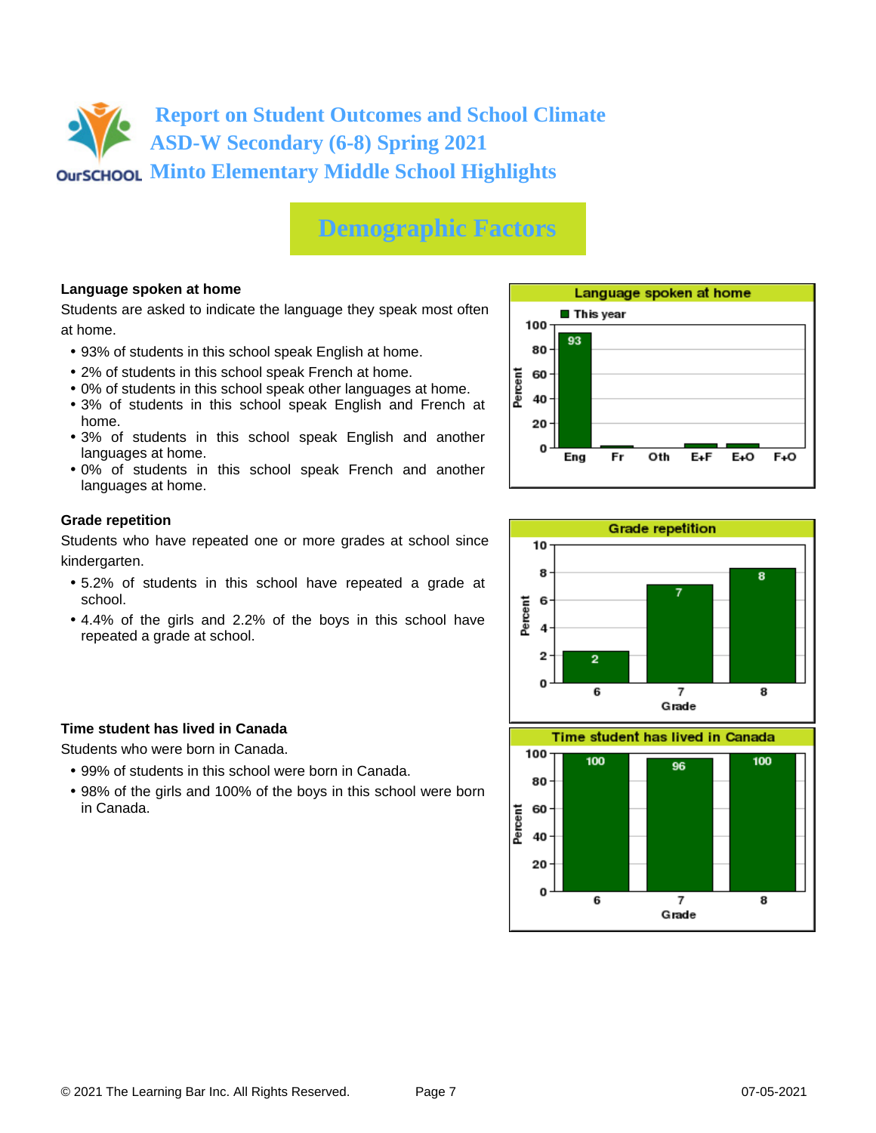# **Demographic Factors**

## **Language spoken at home**

Students are asked to indicate the language they speak most often at home.

- 93% of students in this school speak English at home.
- 2% of students in this school speak French at home.
- 0% of students in this school speak other languages at home.
- 3% of students in this school speak English and French at home.
- 3% of students in this school speak English and another languages at home.
- 0% of students in this school speak French and another languages at home.

## **Grade repetition**

Students who have repeated one or more grades at school since kindergarten.

- 5.2% of students in this school have repeated a grade at school.
- 4.4% of the girls and 2.2% of the boys in this school have repeated a grade at school.

## **Time student has lived in Canada**

Students who were born in Canada.

- 99% of students in this school were born in Canada.
- 98% of the girls and 100% of the boys in this school were born in Canada.





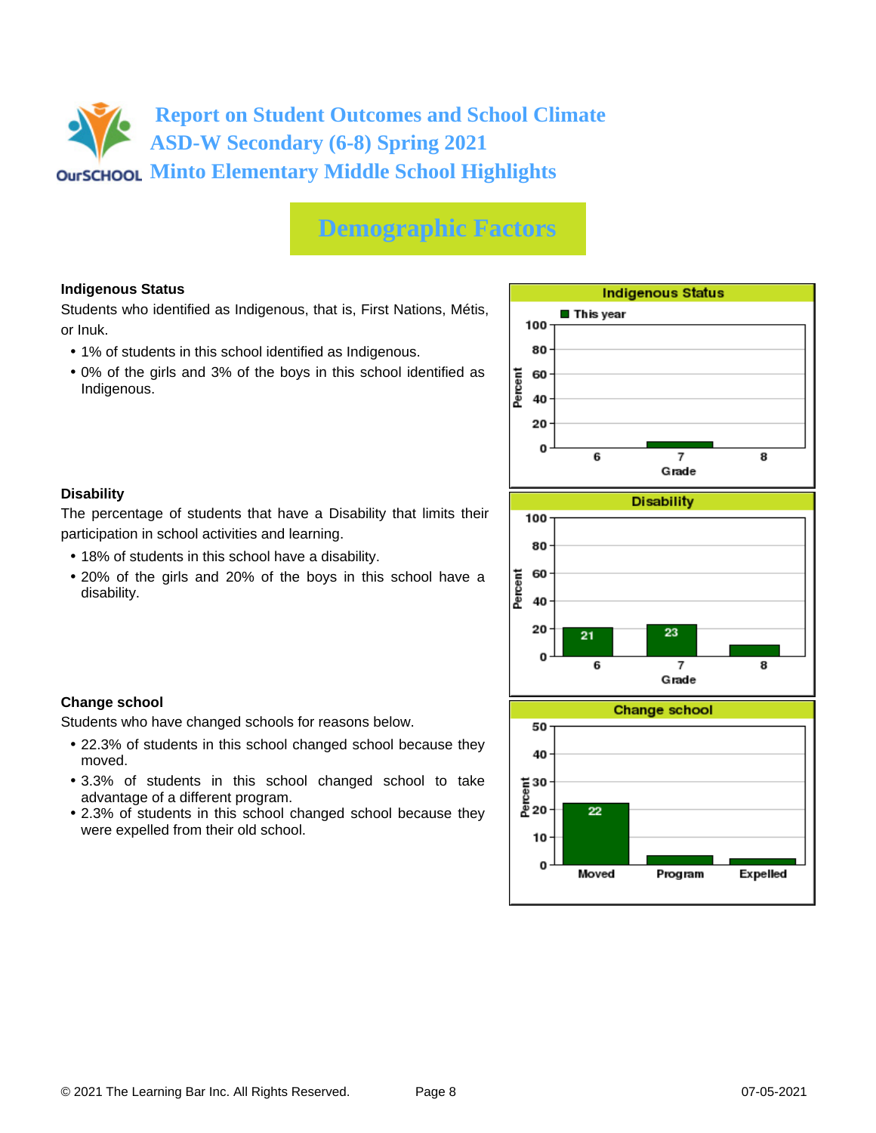# **Demographic Factors**

## **Indigenous Status**

Students who identified as Indigenous, that is, First Nations, Métis, or Inuk.

• 1% of students in this school identified as Indigenous.

participation in school activities and learning.

• 18% of students in this school have a disability.

Students who have changed schools for reasons below.

advantage of a different program.

were expelled from their old school.

• 0% of the girls and 3% of the boys in this school identified as Indigenous.

The percentage of students that have a Disability that limits their

• 20% of the girls and 20% of the boys in this school have a

• 22.3% of students in this school changed school because they

• 3.3% of students in this school changed school to take

• 2.3% of students in this school changed school because they



**Change school**

moved.

disability.

**Disability**

## © 2021 The Learning Bar Inc. All Rights Reserved. Page 8 07-05-2021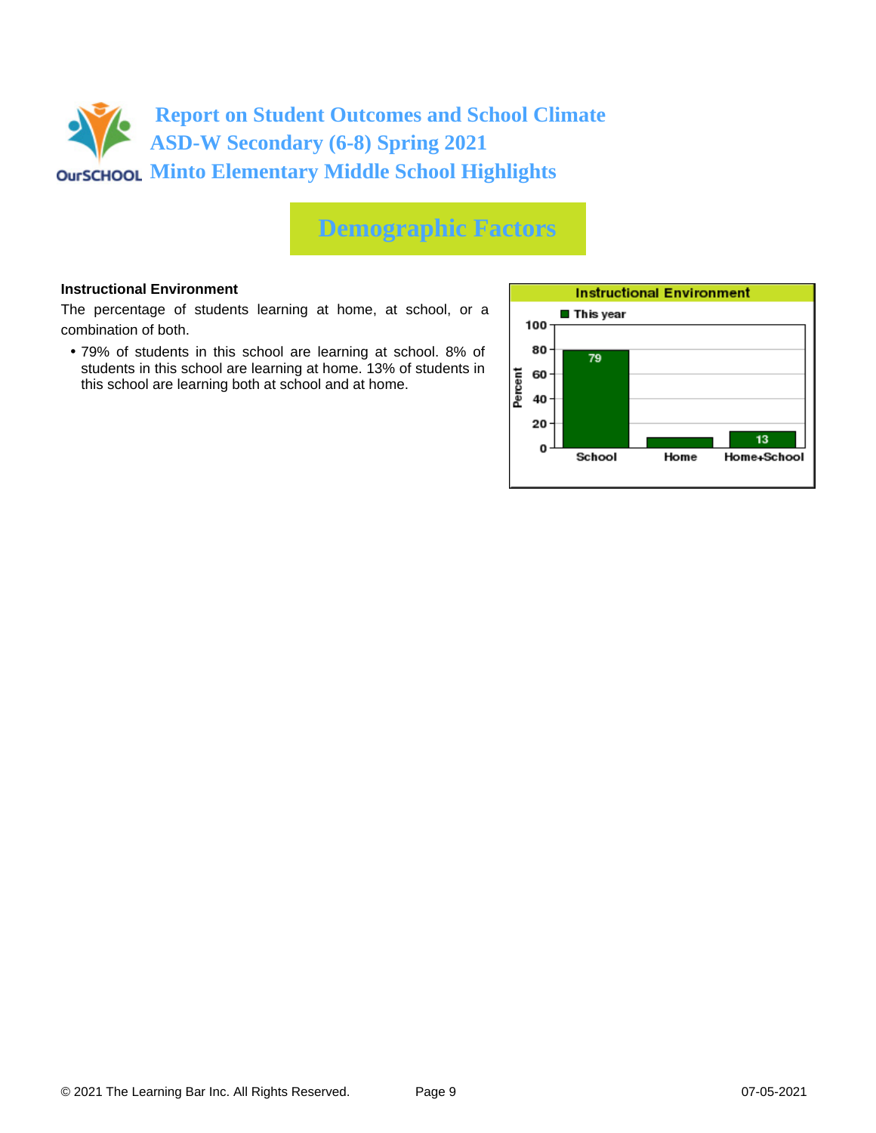

# **Demographic Factors**

## **Instructional Environment**

The percentage of students learning at home, at school, or a combination of both.

• 79% of students in this school are learning at school. 8% of students in this school are learning at home. 13% of students in this school are learning both at school and at home.

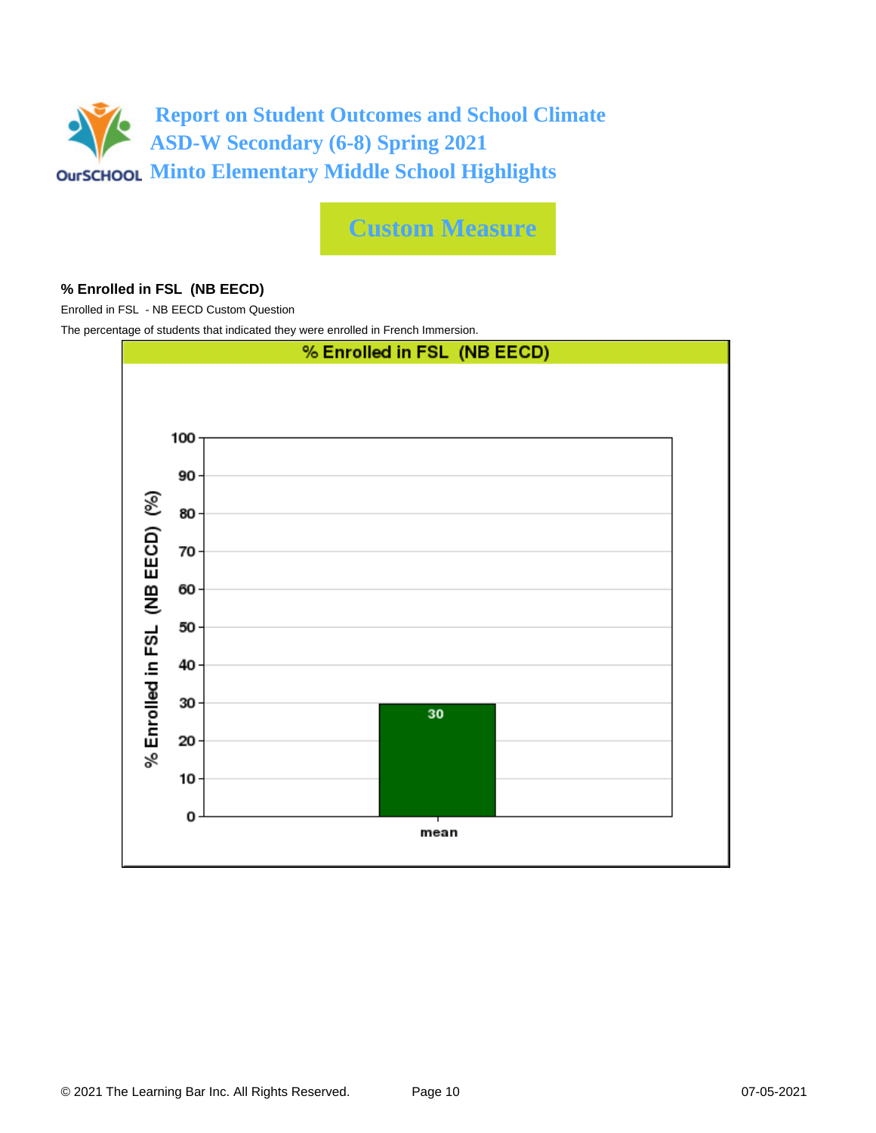

**Custom Measure**

## **% Enrolled in FSL (NB EECD)**

Enrolled in FSL - NB EECD Custom Question

The percentage of students that indicated they were enrolled in French Immersion.

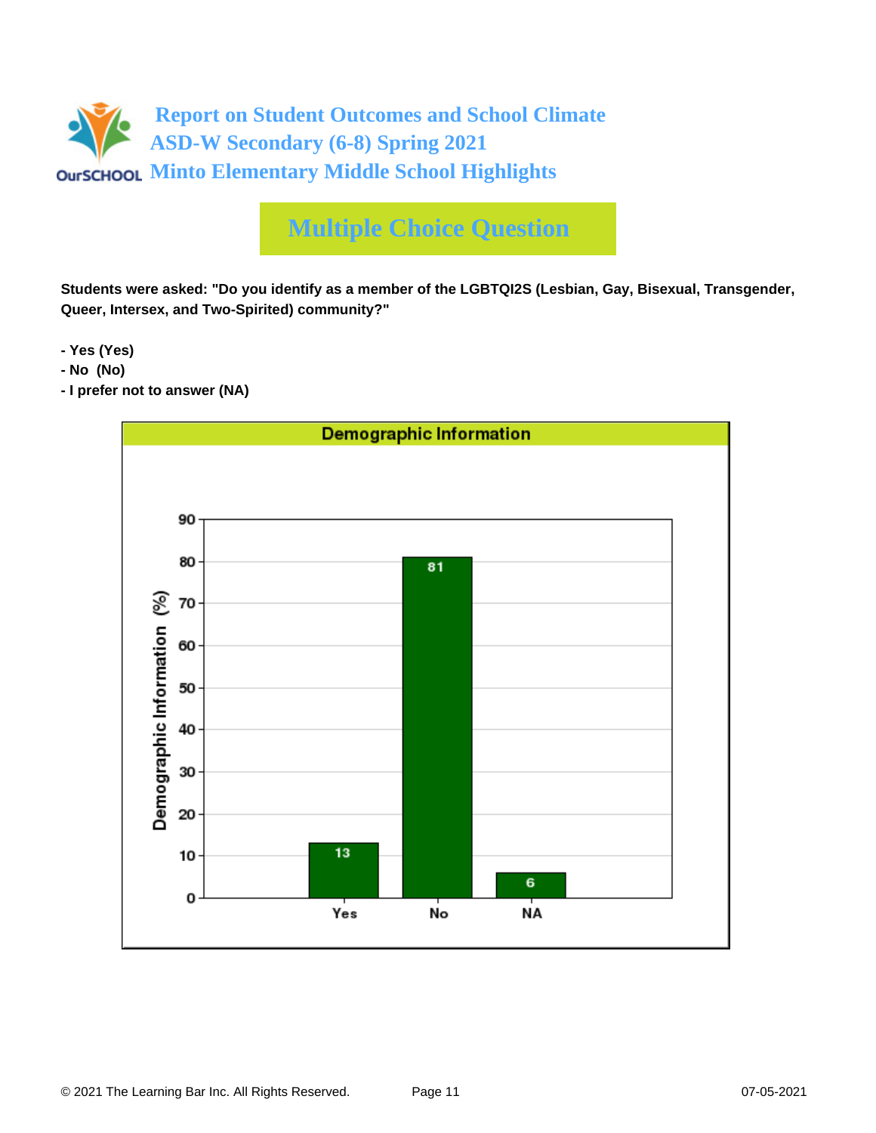

# **Multiple Choice Question**

**Students were asked: "Do you identify as a member of the LGBTQI2S (Lesbian, Gay, Bisexual, Transgender, Queer, Intersex, and Two-Spirited) community?"**

**- Yes (Yes)**

- **No (No)**
- **I prefer not to answer (NA)**

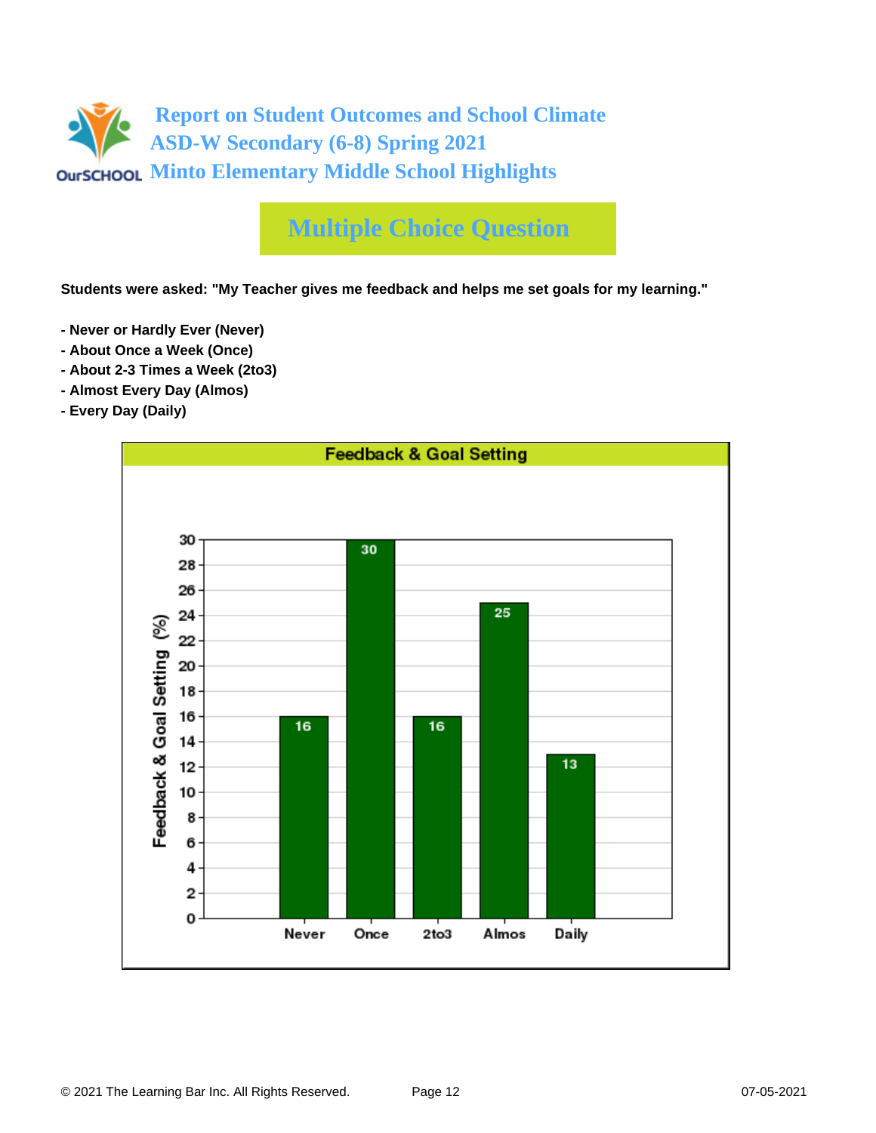

# **Multiple Choice Question**

**Students were asked: "My Teacher gives me feedback and helps me set goals for my learning."**

- **Never or Hardly Ever (Never)**
- **About Once a Week (Once)**
- **About 2-3 Times a Week (2to3)**
- **Almost Every Day (Almos)**
- **Every Day (Daily)**